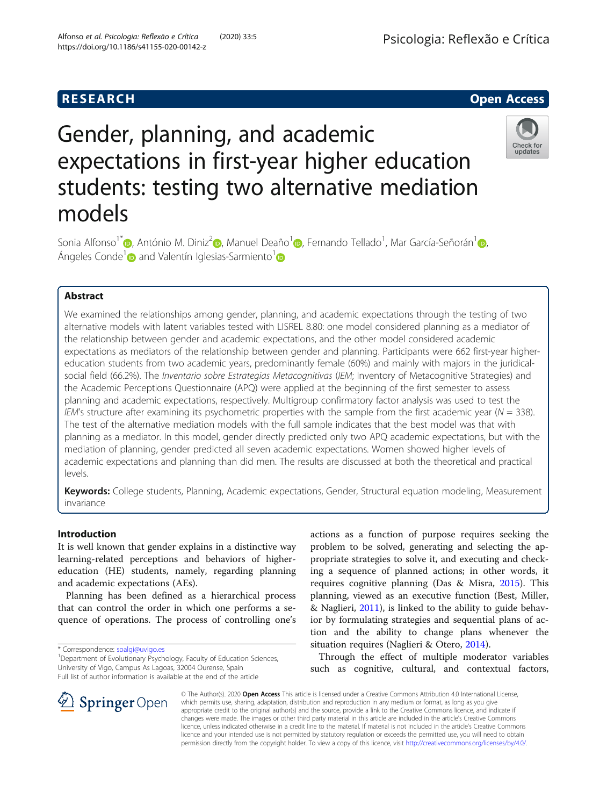# Gender, planning, and academic expectations in first-year higher education students: testing two alternative mediation models



Sonia Alfonso<sup>1\*</sup> (D[,](https://orcid.org/0000-0002-0568-5024) António M. Diniz<sup>2</sup> (D, Manuel Deaño<sup>1</sup> (D, Fernando Tellado<sup>1</sup>, Mar García-Señorán<sup>1</sup> (D, Ángeles Conde<sup>1</sup> and Valentín Iglesias-Sarmiento<sup>1</sup>

# Abstract

We examined the relationships among gender, planning, and academic expectations through the testing of two alternative models with latent variables tested with LISREL 8.80: one model considered planning as a mediator of the relationship between gender and academic expectations, and the other model considered academic expectations as mediators of the relationship between gender and planning. Participants were 662 first-year highereducation students from two academic years, predominantly female (60%) and mainly with majors in the juridicalsocial field (66.2%). The *Inventario sobre Estrategias Metacognitivas* (IEM; Inventory of Metacognitive Strategies) and the Academic Perceptions Questionnaire (APQ) were applied at the beginning of the first semester to assess planning and academic expectations, respectively. Multigroup confirmatory factor analysis was used to test the IEM's structure after examining its psychometric properties with the sample from the first academic year ( $N = 338$ ). The test of the alternative mediation models with the full sample indicates that the best model was that with planning as a mediator. In this model, gender directly predicted only two APQ academic expectations, but with the mediation of planning, gender predicted all seven academic expectations. Women showed higher levels of academic expectations and planning than did men. The results are discussed at both the theoretical and practical levels.

Keywords: College students, Planning, Academic expectations, Gender, Structural equation modeling, Measurement invariance

# Introduction

It is well known that gender explains in a distinctive way learning-related perceptions and behaviors of highereducation (HE) students, namely, regarding planning and academic expectations (AEs).

Planning has been defined as a hierarchical process that can control the order in which one performs a sequence of operations. The process of controlling one's

<sup>1</sup> Department of Evolutionary Psychology, Faculty of Education Sciences, University of Vigo, Campus As Lagoas, 32004 Ourense, Spain Full list of author information is available at the end of the article

actions as a function of purpose requires seeking the problem to be solved, generating and selecting the appropriate strategies to solve it, and executing and checking a sequence of planned actions; in other words, it requires cognitive planning (Das & Misra, [2015](#page-7-0)). This planning, viewed as an executive function (Best, Miller, & Naglieri, [2011](#page-7-0)), is linked to the ability to guide behavior by formulating strategies and sequential plans of action and the ability to change plans whenever the situation requires (Naglieri & Otero, [2014](#page-7-0)).

Through the effect of multiple moderator variables such as cognitive, cultural, and contextual factors,



© The Author(s). 2020 Open Access This article is licensed under a Creative Commons Attribution 4.0 International License, which permits use, sharing, adaptation, distribution and reproduction in any medium or format, as long as you give appropriate credit to the original author(s) and the source, provide a link to the Creative Commons licence, and indicate if changes were made. The images or other third party material in this article are included in the article's Creative Commons licence, unless indicated otherwise in a credit line to the material. If material is not included in the article's Creative Commons licence and your intended use is not permitted by statutory regulation or exceeds the permitted use, you will need to obtain permission directly from the copyright holder. To view a copy of this licence, visit <http://creativecommons.org/licenses/by/4.0/>.

<sup>\*</sup> Correspondence: [soalgi@uvigo.es](mailto:soalgi@uvigo.es) <sup>1</sup>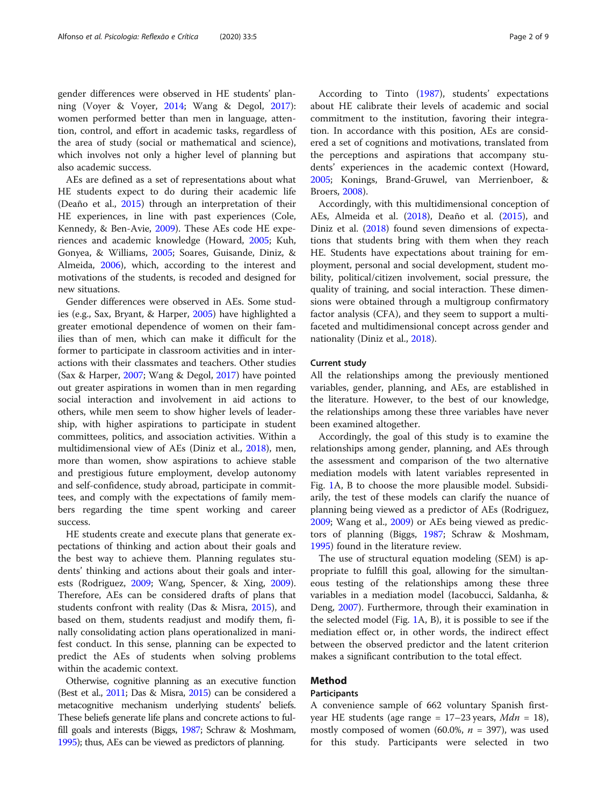gender differences were observed in HE students' planning (Voyer & Voyer, [2014;](#page-8-0) Wang & Degol, [2017](#page-8-0)): women performed better than men in language, attention, control, and effort in academic tasks, regardless of the area of study (social or mathematical and science), which involves not only a higher level of planning but also academic success.

AEs are defined as a set of representations about what HE students expect to do during their academic life (Deaño et al., [2015\)](#page-7-0) through an interpretation of their HE experiences, in line with past experiences (Cole, Kennedy, & Ben-Avie, [2009\)](#page-7-0). These AEs code HE experiences and academic knowledge (Howard, [2005](#page-7-0); Kuh, Gonyea, & Williams, [2005](#page-7-0); Soares, Guisande, Diniz, & Almeida, [2006](#page-8-0)), which, according to the interest and motivations of the students, is recoded and designed for new situations.

Gender differences were observed in AEs. Some studies (e.g., Sax, Bryant, & Harper, [2005\)](#page-8-0) have highlighted a greater emotional dependence of women on their families than of men, which can make it difficult for the former to participate in classroom activities and in interactions with their classmates and teachers. Other studies (Sax & Harper, [2007;](#page-8-0) Wang & Degol, [2017\)](#page-8-0) have pointed out greater aspirations in women than in men regarding social interaction and involvement in aid actions to others, while men seem to show higher levels of leadership, with higher aspirations to participate in student committees, politics, and association activities. Within a multidimensional view of AEs (Diniz et al., [2018](#page-7-0)), men, more than women, show aspirations to achieve stable and prestigious future employment, develop autonomy and self-confidence, study abroad, participate in committees, and comply with the expectations of family members regarding the time spent working and career success.

HE students create and execute plans that generate expectations of thinking and action about their goals and the best way to achieve them. Planning regulates students' thinking and actions about their goals and interests (Rodriguez, [2009](#page-8-0); Wang, Spencer, & Xing, [2009](#page-8-0)). Therefore, AEs can be considered drafts of plans that students confront with reality (Das & Misra, [2015](#page-7-0)), and based on them, students readjust and modify them, finally consolidating action plans operationalized in manifest conduct. In this sense, planning can be expected to predict the AEs of students when solving problems within the academic context.

Otherwise, cognitive planning as an executive function (Best et al., [2011](#page-7-0); Das & Misra, [2015](#page-7-0)) can be considered a metacognitive mechanism underlying students' beliefs. These beliefs generate life plans and concrete actions to fulfill goals and interests (Biggs, [1987;](#page-7-0) Schraw & Moshmam, [1995\)](#page-8-0); thus, AEs can be viewed as predictors of planning.

According to Tinto ([1987](#page-8-0)), students' expectations about HE calibrate their levels of academic and social commitment to the institution, favoring their integration. In accordance with this position, AEs are considered a set of cognitions and motivations, translated from the perceptions and aspirations that accompany students' experiences in the academic context (Howard, [2005](#page-7-0); Konings, Brand-Gruwel, van Merrienboer, & Broers, [2008\)](#page-7-0).

Accordingly, with this multidimensional conception of AEs, Almeida et al. ([2018](#page-7-0)), Deaño et al. [\(2015\)](#page-7-0), and Diniz et al. [\(2018\)](#page-7-0) found seven dimensions of expectations that students bring with them when they reach HE. Students have expectations about training for employment, personal and social development, student mobility, political/citizen involvement, social pressure, the quality of training, and social interaction. These dimensions were obtained through a multigroup confirmatory factor analysis (CFA), and they seem to support a multifaceted and multidimensional concept across gender and nationality (Diniz et al., [2018](#page-7-0)).

### Current study

All the relationships among the previously mentioned variables, gender, planning, and AEs, are established in the literature. However, to the best of our knowledge, the relationships among these three variables have never been examined altogether.

Accordingly, the goal of this study is to examine the relationships among gender, planning, and AEs through the assessment and comparison of the two alternative mediation models with latent variables represented in Fig. [1A](#page-2-0), B to choose the more plausible model. Subsidiarily, the test of these models can clarify the nuance of planning being viewed as a predictor of AEs (Rodriguez, [2009](#page-8-0); Wang et al., [2009\)](#page-8-0) or AEs being viewed as predictors of planning (Biggs, [1987](#page-7-0); Schraw & Moshmam, [1995](#page-8-0)) found in the literature review.

The use of structural equation modeling (SEM) is appropriate to fulfill this goal, allowing for the simultaneous testing of the relationships among these three variables in a mediation model (Iacobucci, Saldanha, & Deng, [2007\)](#page-7-0). Furthermore, through their examination in the selected model (Fig. [1](#page-2-0)A, B), it is possible to see if the mediation effect or, in other words, the indirect effect between the observed predictor and the latent criterion makes a significant contribution to the total effect.

# Method

# Participants

A convenience sample of 662 voluntary Spanish firstyear HE students (age range =  $17-23$  years,  $Mdn = 18$ ), mostly composed of women (60.0%,  $n = 397$ ), was used for this study. Participants were selected in two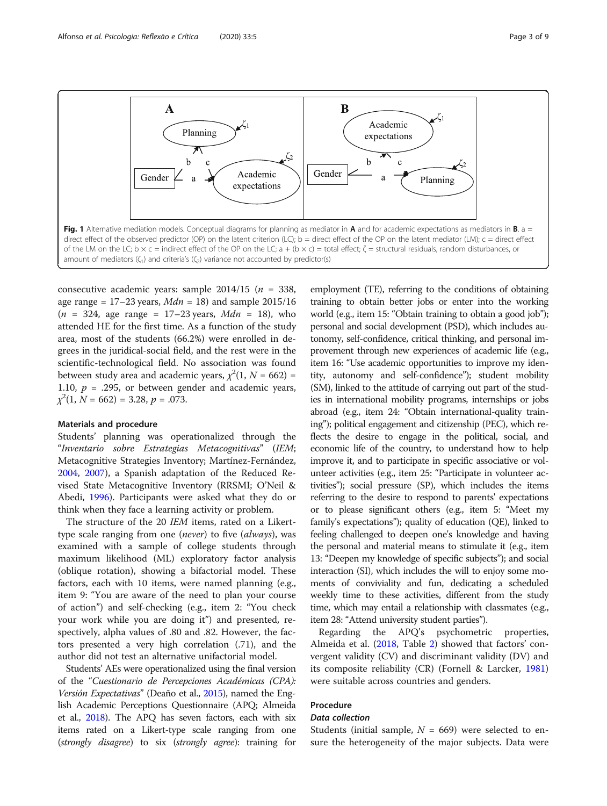<span id="page-2-0"></span>

consecutive academic years: sample  $2014/15$  ( $n = 338$ , age range =  $17-23$  years,  $Mdn = 18$ ) and sample  $2015/16$  $(n = 324, \text{ age range} = 17 - 23 \text{ years}, \text{ Mdn} = 18)$ , who attended HE for the first time. As a function of the study area, most of the students (66.2%) were enrolled in degrees in the juridical-social field, and the rest were in the scientific-technological field. No association was found between study area and academic years,  $\chi^2(1, N = 662)$  = 1.10,  $p = .295$ , or between gender and academic years,  $\chi^2(1, N = 662) = 3.28, p = .073.$ 

#### Materials and procedure

Students' planning was operationalized through the "Inventario sobre Estrategias Metacognitivas" (IEM; Metacognitive Strategies Inventory; Martínez-Fernández, [2004](#page-7-0), [2007\)](#page-7-0), a Spanish adaptation of the Reduced Revised State Metacognitive Inventory (RRSMI; O'Neil & Abedi, [1996](#page-7-0)). Participants were asked what they do or think when they face a learning activity or problem.

The structure of the 20 IEM items, rated on a Likerttype scale ranging from one (never) to five (always), was examined with a sample of college students through maximum likelihood (ML) exploratory factor analysis (oblique rotation), showing a bifactorial model. These factors, each with 10 items, were named planning (e.g., item 9: "You are aware of the need to plan your course of action") and self-checking (e.g., item 2: "You check your work while you are doing it") and presented, respectively, alpha values of .80 and .82. However, the factors presented a very high correlation (.71), and the author did not test an alternative unifactorial model.

Students' AEs were operationalized using the final version of the "Cuestionario de Percepciones Académicas (CPA): Versión Expectativas" (Deaño et al., [2015\)](#page-7-0), named the English Academic Perceptions Questionnaire (APQ; Almeida et al., [2018](#page-7-0)). The APQ has seven factors, each with six items rated on a Likert-type scale ranging from one (strongly disagree) to six (strongly agree): training for employment (TE), referring to the conditions of obtaining training to obtain better jobs or enter into the working world (e.g., item 15: "Obtain training to obtain a good job"); personal and social development (PSD), which includes autonomy, self-confidence, critical thinking, and personal improvement through new experiences of academic life (e.g., item 16: "Use academic opportunities to improve my identity, autonomy and self-confidence"); student mobility (SM), linked to the attitude of carrying out part of the studies in international mobility programs, internships or jobs abroad (e.g., item 24: "Obtain international-quality training"); political engagement and citizenship (PEC), which reflects the desire to engage in the political, social, and economic life of the country, to understand how to help improve it, and to participate in specific associative or volunteer activities (e.g., item 25: "Participate in volunteer activities"); social pressure (SP), which includes the items referring to the desire to respond to parents' expectations or to please significant others (e.g., item 5: "Meet my family's expectations"); quality of education (QE), linked to feeling challenged to deepen one's knowledge and having the personal and material means to stimulate it (e.g., item 13: "Deepen my knowledge of specific subjects"); and social interaction (SI), which includes the will to enjoy some moments of conviviality and fun, dedicating a scheduled weekly time to these activities, different from the study time, which may entail a relationship with classmates (e.g., item 28: "Attend university student parties").

Regarding the APQ's psychometric properties, Almeida et al. ([2018](#page-7-0), Table [2](#page-5-0)) showed that factors' convergent validity (CV) and discriminant validity (DV) and its composite reliability (CR) (Fornell & Larcker, [1981](#page-7-0)) were suitable across countries and genders.

# Procedure

# Data collection

Students (initial sample,  $N = 669$ ) were selected to ensure the heterogeneity of the major subjects. Data were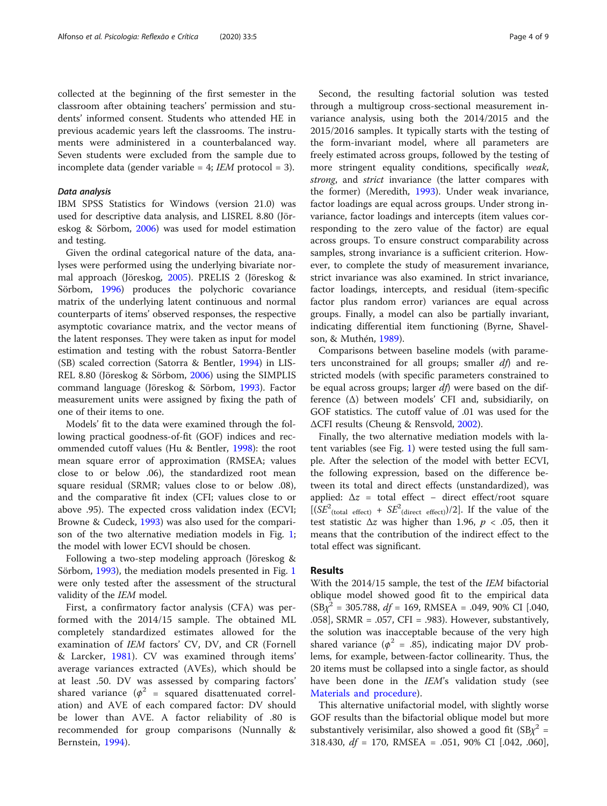collected at the beginning of the first semester in the classroom after obtaining teachers' permission and students' informed consent. Students who attended HE in previous academic years left the classrooms. The instruments were administered in a counterbalanced way. Seven students were excluded from the sample due to incomplete data (gender variable = 4;  $IEM$  protocol = 3).

#### Data analysis

IBM SPSS Statistics for Windows (version 21.0) was used for descriptive data analysis, and LISREL 8.80 (Jöreskog & Sörbom, [2006](#page-7-0)) was used for model estimation and testing.

Given the ordinal categorical nature of the data, analyses were performed using the underlying bivariate normal approach (Jöreskog, [2005](#page-7-0)). PRELIS 2 (Jöreskog & Sörbom, [1996\)](#page-7-0) produces the polychoric covariance matrix of the underlying latent continuous and normal counterparts of items' observed responses, the respective asymptotic covariance matrix, and the vector means of the latent responses. They were taken as input for model estimation and testing with the robust Satorra-Bentler (SB) scaled correction (Satorra & Bentler, [1994](#page-8-0)) in LIS-REL 8.80 (Jöreskog & Sörbom, [2006](#page-7-0)) using the SIMPLIS command language (Jöreskog & Sörbom, [1993\)](#page-7-0). Factor measurement units were assigned by fixing the path of one of their items to one.

Models' fit to the data were examined through the following practical goodness-of-fit (GOF) indices and recommended cutoff values (Hu & Bentler, [1998\)](#page-7-0): the root mean square error of approximation (RMSEA; values close to or below .06), the standardized root mean square residual (SRMR; values close to or below .08), and the comparative fit index (CFI; values close to or above .95). The expected cross validation index (ECVI; Browne & Cudeck, [1993](#page-7-0)) was also used for the comparison of the two alternative mediation models in Fig. [1](#page-2-0); the model with lower ECVI should be chosen.

Following a two-step modeling approach (Jöreskog & Sörbom, [1993\)](#page-7-0), the mediation models presented in Fig. [1](#page-2-0) were only tested after the assessment of the structural validity of the IEM model.

First, a confirmatory factor analysis (CFA) was performed with the 2014/15 sample. The obtained ML completely standardized estimates allowed for the examination of IEM factors' CV, DV, and CR (Fornell & Larcker, [1981](#page-7-0)). CV was examined through items' average variances extracted (AVEs), which should be at least .50. DV was assessed by comparing factors' shared variance ( $\phi^2$  = squared disattenuated correlation) and AVE of each compared factor: DV should be lower than AVE. A factor reliability of .80 is recommended for group comparisons (Nunnally & Bernstein, [1994](#page-7-0)).

Second, the resulting factorial solution was tested through a multigroup cross-sectional measurement invariance analysis, using both the 2014/2015 and the 2015/2016 samples. It typically starts with the testing of the form-invariant model, where all parameters are freely estimated across groups, followed by the testing of more stringent equality conditions, specifically weak, strong, and strict invariance (the latter compares with the former) (Meredith, [1993](#page-7-0)). Under weak invariance, factor loadings are equal across groups. Under strong invariance, factor loadings and intercepts (item values corresponding to the zero value of the factor) are equal across groups. To ensure construct comparability across samples, strong invariance is a sufficient criterion. However, to complete the study of measurement invariance, strict invariance was also examined. In strict invariance, factor loadings, intercepts, and residual (item-specific factor plus random error) variances are equal across groups. Finally, a model can also be partially invariant, indicating differential item functioning (Byrne, Shavelson, & Muthén, [1989\)](#page-7-0).

Comparisons between baseline models (with parameters unconstrained for all groups; smaller  $df$ ) and restricted models (with specific parameters constrained to be equal across groups; larger df) were based on the difference (Δ) between models' CFI and, subsidiarily, on GOF statistics. The cutoff value of .01 was used for the ΔCFI results (Cheung & Rensvold, [2002\)](#page-7-0).

Finally, the two alternative mediation models with latent variables (see Fig. [1\)](#page-2-0) were tested using the full sample. After the selection of the model with better ECVI, the following expression, based on the difference between its total and direct effects (unstandardized), was applied:  $\Delta z$  = total effect – direct effect/root square  $[(SE<sup>2</sup>(total effect) + SE<sup>2</sup>(direct effect))/2]$ . If the value of the test statistic  $\Delta z$  was higher than 1.96,  $p < .05$ , then it means that the contribution of the indirect effect to the total effect was significant.

# Results

With the 2014/15 sample, the test of the IEM bifactorial oblique model showed good fit to the empirical data  $(SB\chi^2 = 305.788, df = 169, RMSEA = .049, 90\% CI [.040,$ .058], SRMR = .057, CFI = .983). However, substantively, the solution was inacceptable because of the very high shared variance ( $\phi^2$  = .85), indicating major DV problems, for example, between-factor collinearity. Thus, the 20 items must be collapsed into a single factor, as should have been done in the IEM's validation study (see [Materials and procedure\)](#page-2-0).

This alternative unifactorial model, with slightly worse GOF results than the bifactorial oblique model but more substantively verisimilar, also showed a good fit  $(SBx^2 =$ 318.430,  $df = 170$ , RMSEA = .051, 90% CI [.042, .060],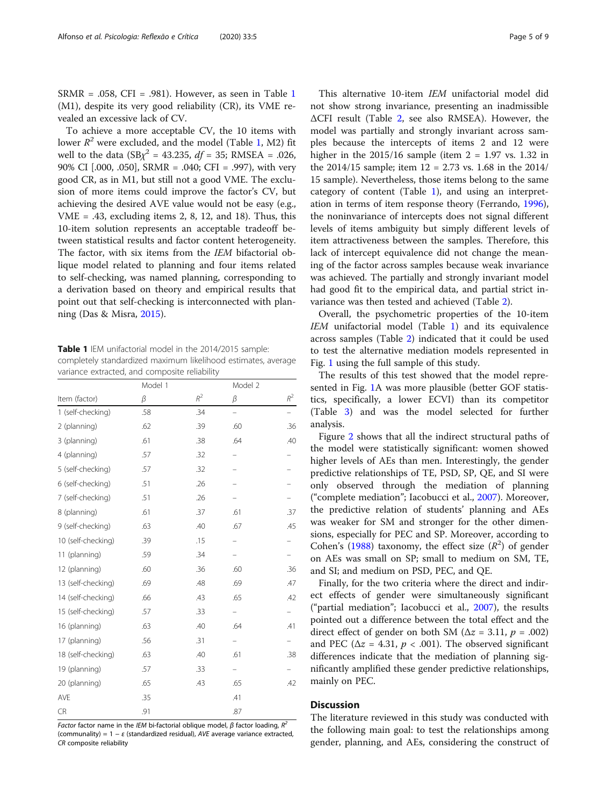SRMR = .058, CFI = .981). However, as seen in Table 1 (M1), despite its very good reliability (CR), its VME revealed an excessive lack of CV.

To achieve a more acceptable CV, the 10 items with lower  $R^2$  were excluded, and the model (Table 1, M2) fit well to the data  $(SBx^2 = 43.235, df = 35; RMSEA = .026,$ 90% CI [.000, .050], SRMR = .040; CFI = .997), with very good CR, as in M1, but still not a good VME. The exclusion of more items could improve the factor's CV, but achieving the desired AVE value would not be easy (e.g.,  $VME = .43$ , excluding items 2, 8, 12, and 18). Thus, this 10-item solution represents an acceptable tradeoff between statistical results and factor content heterogeneity. The factor, with six items from the IEM bifactorial oblique model related to planning and four items related to self-checking, was named planning, corresponding to a derivation based on theory and empirical results that point out that self-checking is interconnected with planning (Das & Misra, [2015\)](#page-7-0).

Table 1 IEM unifactorial model in the 2014/2015 sample: completely standardized maximum likelihood estimates, average variance extracted, and composite reliability

|                    | Model 1 |       | Model 2                  |       |
|--------------------|---------|-------|--------------------------|-------|
| Item (factor)      | β       | $R^2$ | β                        | $R^2$ |
| 1 (self-checking)  | .58     | .34   | $\overline{\phantom{0}}$ |       |
| 2 (planning)       | .62     | .39   | .60                      | .36   |
| 3 (planning)       | .61     | .38   | .64                      | .40   |
| 4 (planning)       | .57     | .32   |                          |       |
| 5 (self-checking)  | .57     | .32   |                          |       |
| 6 (self-checking)  | .51     | .26   |                          |       |
| 7 (self-checking)  | .51     | .26   |                          |       |
| 8 (planning)       | .61     | .37   | .61                      | .37   |
| 9 (self-checking)  | .63     | .40   | .67                      | .45   |
| 10 (self-checking) | .39     | .15   |                          |       |
| 11 (planning)      | .59     | .34   |                          |       |
| 12 (planning)      | .60     | .36   | .60                      | .36   |
| 13 (self-checking) | .69     | .48   | .69                      | .47   |
| 14 (self-checking) | .66     | .43   | .65                      | .42   |
| 15 (self-checking) | .57     | .33   |                          |       |
| 16 (planning)      | .63     | .40   | .64                      | .41   |
| 17 (planning)      | .56     | .31   |                          |       |
| 18 (self-checking) | .63     | .40   | .61                      | .38   |
| 19 (planning)      | .57     | .33   |                          |       |
| 20 (planning)      | .65     | .43   | .65                      | .42   |
| AVE                | .35     |       | .41                      |       |
| <b>CR</b>          | .91     |       | .87                      |       |

Factor factor name in the IEM bi-factorial oblique model,  $\beta$  factor loading,  $R^2$ (communality) =  $1 - \varepsilon$  (standardized residual), AVE average variance extracted, CR composite reliability

This alternative 10-item IEM unifactorial model did not show strong invariance, presenting an inadmissible ΔCFI result (Table [2,](#page-5-0) see also RMSEA). However, the model was partially and strongly invariant across samples because the intercepts of items 2 and 12 were higher in the  $2015/16$  sample (item  $2 = 1.97$  vs. 1.32 in the 2014/15 sample; item 12 = 2.73 vs. 1.68 in the 2014/ 15 sample). Nevertheless, those items belong to the same category of content (Table 1), and using an interpretation in terms of item response theory (Ferrando, [1996](#page-7-0)), the noninvariance of intercepts does not signal different levels of items ambiguity but simply different levels of item attractiveness between the samples. Therefore, this lack of intercept equivalence did not change the meaning of the factor across samples because weak invariance was achieved. The partially and strongly invariant model had good fit to the empirical data, and partial strict invariance was then tested and achieved (Table [2\)](#page-5-0).

Overall, the psychometric properties of the 10-item IEM unifactorial model (Table 1) and its equivalence across samples (Table [2\)](#page-5-0) indicated that it could be used to test the alternative mediation models represented in Fig. [1](#page-2-0) using the full sample of this study.

The results of this test showed that the model represented in Fig. [1](#page-2-0)A was more plausible (better GOF statistics, specifically, a lower ECVI) than its competitor (Table [3](#page-5-0)) and was the model selected for further analysis.

Figure [2](#page-6-0) shows that all the indirect structural paths of the model were statistically significant: women showed higher levels of AEs than men. Interestingly, the gender predictive relationships of TE, PSD, SP, QE, and SI were only observed through the mediation of planning ("complete mediation"; Iacobucci et al., [2007](#page-7-0)). Moreover, the predictive relation of students' planning and AEs was weaker for SM and stronger for the other dimensions, especially for PEC and SP. Moreover, according to Cohen's [\(1988](#page-7-0)) taxonomy, the effect size  $(R^2)$  of gender on AEs was small on SP; small to medium on SM, TE, and SI; and medium on PSD, PEC, and QE.

Finally, for the two criteria where the direct and indirect effects of gender were simultaneously significant ("partial mediation"; Iacobucci et al., [2007](#page-7-0)), the results pointed out a difference between the total effect and the direct effect of gender on both SM ( $\Delta z = 3.11$ ,  $p = .002$ ) and PEC ( $\Delta z = 4.31$ ,  $p < .001$ ). The observed significant differences indicate that the mediation of planning significantly amplified these gender predictive relationships, mainly on PEC.

# **Discussion**

The literature reviewed in this study was conducted with the following main goal: to test the relationships among gender, planning, and AEs, considering the construct of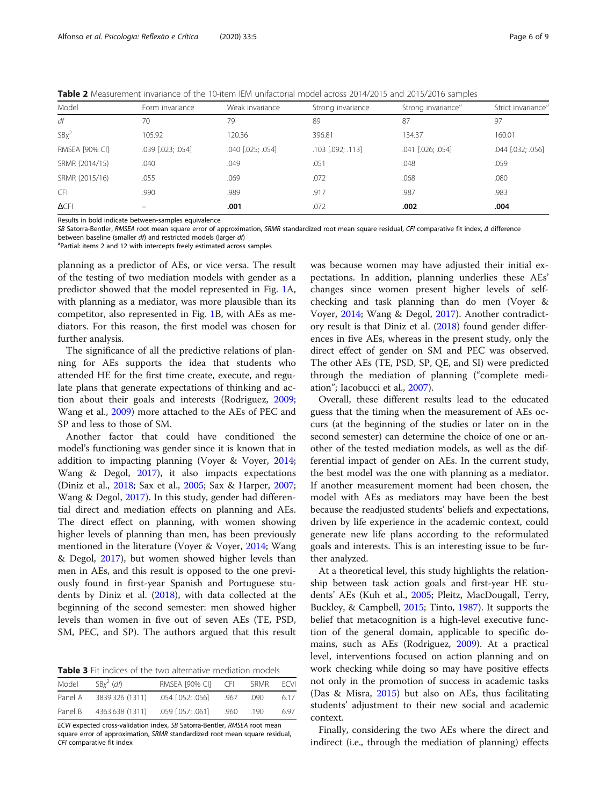<span id="page-5-0"></span>Table 2 Measurement invariance of the 10-item IEM unifactorial model across 2014/2015 and 2015/2016 samples

| Model                 | Form invariance          | Weak invariance   | Strong invariance     | Strong invariance <sup>a</sup> | Strict invariance <sup>a</sup> |
|-----------------------|--------------------------|-------------------|-----------------------|--------------------------------|--------------------------------|
| df                    | 70                       | 79                | 89                    | 87                             | 97                             |
| $SBX^2$               | 105.92                   | 120.36            | 396.81                | 134.37                         | 160.01                         |
| <b>RMSEA [90% CI]</b> | .039 [.023; .054]        | .040 [.025; .054] | $.103$ $[.092; .113]$ | $.041$ $[.026; .054]$          | .044 [.032; .056]              |
| SRMR (2014/15)        | .040                     | .049              | .051                  | .048                           | .059                           |
| SRMR (2015/16)        | .055                     | .069              | .072                  | .068                           | .080                           |
| <b>CFI</b>            | .990                     | .989              | .917                  | .987                           | .983                           |
| $\Delta$ CFI          | $\overline{\phantom{0}}$ | .001              | .072                  | .002                           | .004                           |

Results in bold indicate between-samples equivalence

SB Satorra-Bentler, RMSEA root mean square error of approximation, SRMR standardized root mean square residual, CFI comparative fit index, Δ difference

between baseline (smaller df) and restricted models (larger df)

<sup>a</sup>Partial: items 2 and 12 with intercepts freely estimated across samples

planning as a predictor of AEs, or vice versa. The result of the testing of two mediation models with gender as a predictor showed that the model represented in Fig. [1](#page-2-0)A, with planning as a mediator, was more plausible than its competitor, also represented in Fig. [1](#page-2-0)B, with AEs as mediators. For this reason, the first model was chosen for further analysis.

The significance of all the predictive relations of planning for AEs supports the idea that students who attended HE for the first time create, execute, and regulate plans that generate expectations of thinking and action about their goals and interests (Rodriguez, [2009](#page-8-0); Wang et al., [2009\)](#page-8-0) more attached to the AEs of PEC and SP and less to those of SM.

Another factor that could have conditioned the model's functioning was gender since it is known that in addition to impacting planning (Voyer & Voyer, [2014](#page-8-0); Wang & Degol, [2017](#page-8-0)), it also impacts expectations (Diniz et al., [2018;](#page-7-0) Sax et al., [2005;](#page-8-0) Sax & Harper, [2007](#page-8-0); Wang & Degol, [2017\)](#page-8-0). In this study, gender had differential direct and mediation effects on planning and AEs. The direct effect on planning, with women showing higher levels of planning than men, has been previously mentioned in the literature (Voyer & Voyer, [2014;](#page-8-0) Wang & Degol, [2017](#page-8-0)), but women showed higher levels than men in AEs, and this result is opposed to the one previously found in first-year Spanish and Portuguese students by Diniz et al. ([2018\)](#page-7-0), with data collected at the beginning of the second semester: men showed higher levels than women in five out of seven AEs (TE, PSD, SM, PEC, and SP). The authors argued that this result

Table 3 Fit indices of the two alternative mediation models

| Model   | $SBx^2$ (df)    | RMSEA [90% CI]        | CEL. | <b>SRMR</b> | <b>ECV</b> |
|---------|-----------------|-----------------------|------|-------------|------------|
| Panel A | 3839.326 (1311) | $.054$ $[.052; .056]$ | .967 | - 090       | 6.17       |
| Panel B | 4363.638 (1311) | $.059$ $[.057; .061]$ | .960 | -190        | 6.97       |

ECVI expected cross-validation index, SB Satorra-Bentler, RMSEA root mean square error of approximation, SRMR standardized root mean square residual, CFI comparative fit index

was because women may have adjusted their initial expectations. In addition, planning underlies these AEs' changes since women present higher levels of selfchecking and task planning than do men (Voyer & Voyer, [2014](#page-8-0); Wang & Degol, [2017](#page-8-0)). Another contradictory result is that Diniz et al. ([2018](#page-7-0)) found gender differences in five AEs, whereas in the present study, only the direct effect of gender on SM and PEC was observed. The other AEs (TE, PSD, SP, QE, and SI) were predicted through the mediation of planning ("complete mediation"; Iacobucci et al., [2007](#page-7-0)).

Overall, these different results lead to the educated guess that the timing when the measurement of AEs occurs (at the beginning of the studies or later on in the second semester) can determine the choice of one or another of the tested mediation models, as well as the differential impact of gender on AEs. In the current study, the best model was the one with planning as a mediator. If another measurement moment had been chosen, the model with AEs as mediators may have been the best because the readjusted students' beliefs and expectations, driven by life experience in the academic context, could generate new life plans according to the reformulated goals and interests. This is an interesting issue to be further analyzed.

At a theoretical level, this study highlights the relationship between task action goals and first-year HE students' AEs (Kuh et al., [2005](#page-7-0); Pleitz, MacDougall, Terry, Buckley, & Campbell, [2015](#page-7-0); Tinto, [1987](#page-8-0)). It supports the belief that metacognition is a high-level executive function of the general domain, applicable to specific domains, such as AEs (Rodriguez, [2009\)](#page-8-0). At a practical level, interventions focused on action planning and on work checking while doing so may have positive effects not only in the promotion of success in academic tasks (Das & Misra, [2015](#page-7-0)) but also on AEs, thus facilitating students' adjustment to their new social and academic context.

Finally, considering the two AEs where the direct and indirect (i.e., through the mediation of planning) effects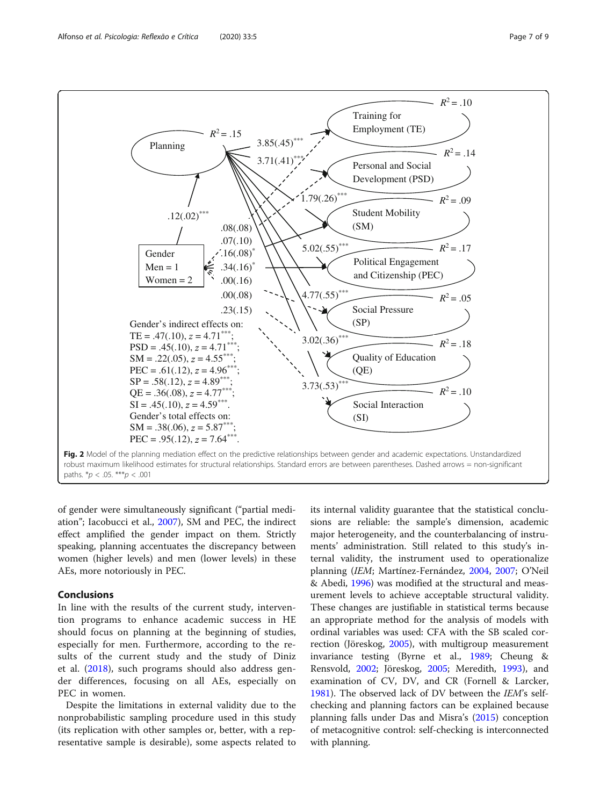

<span id="page-6-0"></span>

of gender were simultaneously significant ("partial mediation"; Iacobucci et al., [2007\)](#page-7-0), SM and PEC, the indirect effect amplified the gender impact on them. Strictly speaking, planning accentuates the discrepancy between women (higher levels) and men (lower levels) in these AEs, more notoriously in PEC.

# Conclusions

In line with the results of the current study, intervention programs to enhance academic success in HE should focus on planning at the beginning of studies, especially for men. Furthermore, according to the results of the current study and the study of Diniz et al. ([2018](#page-7-0)), such programs should also address gender differences, focusing on all AEs, especially on PEC in women.

Despite the limitations in external validity due to the nonprobabilistic sampling procedure used in this study (its replication with other samples or, better, with a representative sample is desirable), some aspects related to its internal validity guarantee that the statistical conclusions are reliable: the sample's dimension, academic major heterogeneity, and the counterbalancing of instruments' administration. Still related to this study's internal validity, the instrument used to operationalize planning (IEM; Martínez-Fernández, [2004](#page-7-0), [2007;](#page-7-0) O'Neil & Abedi, [1996\)](#page-7-0) was modified at the structural and measurement levels to achieve acceptable structural validity. These changes are justifiable in statistical terms because an appropriate method for the analysis of models with ordinal variables was used: CFA with the SB scaled correction (Jöreskog, [2005\)](#page-7-0), with multigroup measurement invariance testing (Byrne et al., [1989;](#page-7-0) Cheung & Rensvold, [2002](#page-7-0); Jöreskog, [2005](#page-7-0); Meredith, [1993\)](#page-7-0), and examination of CV, DV, and CR (Fornell & Larcker, [1981](#page-7-0)). The observed lack of DV between the IEM's selfchecking and planning factors can be explained because planning falls under Das and Misra's ([2015](#page-7-0)) conception of metacognitive control: self-checking is interconnected with planning.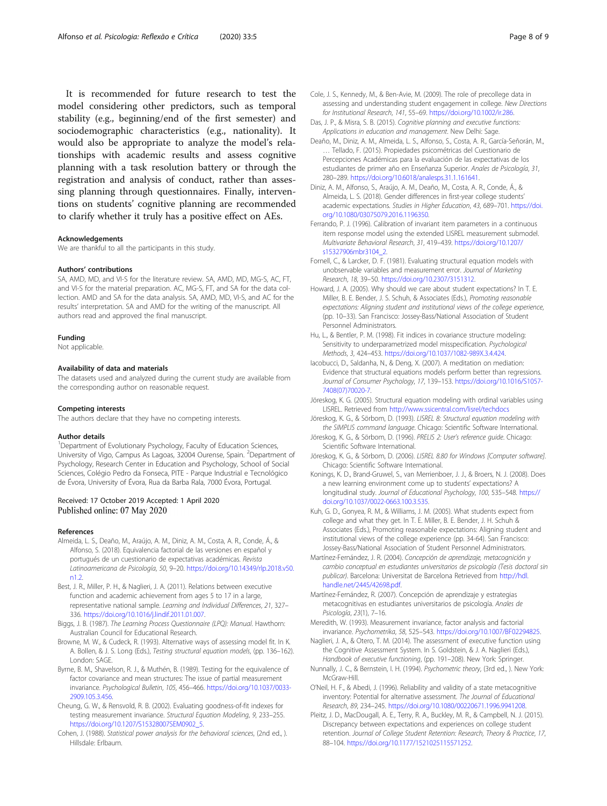<span id="page-7-0"></span>It is recommended for future research to test the model considering other predictors, such as temporal stability (e.g., beginning/end of the first semester) and sociodemographic characteristics (e.g., nationality). It would also be appropriate to analyze the model's relationships with academic results and assess cognitive planning with a task resolution battery or through the registration and analysis of conduct, rather than assessing planning through questionnaires. Finally, interventions on students' cognitive planning are recommended to clarify whether it truly has a positive effect on AEs.

#### Acknowledgements

We are thankful to all the participants in this study.

#### Authors' contributions

SA, AMD, MD, and VI-S for the literature review. SA, AMD, MD, MG-S, AC, FT, and VI-S for the material preparation. AC, MG-S, FT, and SA for the data collection. AMD and SA for the data analysis. SA, AMD, MD, VI-S, and AC for the results' interpretation. SA and AMD for the writing of the manuscript. All authors read and approved the final manuscript.

#### Funding

Not applicable.

#### Availability of data and materials

The datasets used and analyzed during the current study are available from the corresponding author on reasonable request.

#### Competing interests

The authors declare that they have no competing interests.

#### Author details

<sup>1</sup>Department of Evolutionary Psychology, Faculty of Education Sciences, University of Vigo, Campus As Lagoas, 32004 Ourense, Spain. <sup>2</sup>Department of Psychology, Research Center in Education and Psychology, School of Social Sciences, Colégio Pedro da Fonseca, PITE - Parque Industrial e Tecnológico de Évora, University of Évora, Rua da Barba Rala, 7000 Évora, Portugal.

#### Received: 17 October 2019 Accepted: 1 April 2020 Published online: 07 May 2020

#### References

- Almeida, L. S., Deaño, M., Araújo, A. M., Diniz, A. M., Costa, A. R., Conde, Á., & Alfonso, S. (2018). Equivalencia factorial de las versiones en español y portugués de un cuestionario de expectativas académicas. Revista Latinoamericana de Psicología, 50, 9–20. [https://doi.org/10.14349/rlp.2018.v50.](https://doi.org/10.14349/rlp.2018.v50.n1.2) [n1.2.](https://doi.org/10.14349/rlp.2018.v50.n1.2)
- Best, J. R., Miller, P. H., & Naglieri, J. A. (2011). Relations between executive function and academic achievement from ages 5 to 17 in a large, representative national sample. Learning and Individual Differences, 21, 327– 336. <https://doi.org/10.1016/j.lindif.2011.01.007>.
- Biggs, J. B. (1987). The Learning Process Questionnaire (LPQ): Manual. Hawthorn: Australian Council for Educational Research.
- Browne, M. W., & Cudeck, R. (1993). Alternative ways of assessing model fit. In K. A. Bollen, & J. S. Long (Eds.), Testing structural equation models, (pp. 136–162). London: SAGE.
- Byrne, B. M., Shavelson, R. J., & Muthén, B. (1989). Testing for the equivalence of factor covariance and mean structures: The issue of partial measurement invariance. Psychological Bulletin, 105, 456–466. [https://doi.org/10.1037/0033-](https://doi.org/10.1037/0033-2909.105.3.456) [2909.105.3.456.](https://doi.org/10.1037/0033-2909.105.3.456)
- Cheung, G. W., & Rensvold, R. B. (2002). Evaluating goodness-of-fit indexes for testing measurement invariance. Structural Equation Modeling, 9, 233–255. [https://doi.org/10.1207/S15328007SEM0902\\_5](https://doi.org/10.1207/S15328007SEM0902_5).
- Cohen, J. (1988). Statistical power analysis for the behavioral sciences, (2nd ed., ). Hillsdale: Erlbaum.
- Cole, J. S., Kennedy, M., & Ben-Avie, M. (2009). The role of precollege data in assessing and understanding student engagement in college. New Directions for Institutional Research, 141, 55–69. [https://doi.org/10.1002/ir.286.](https://doi.org/10.1002/ir.286)
- Das, J. P., & Misra, S. B. (2015). Cognitive planning and executive functions: Applications in education and management. New Delhi: Sage.
- Deaño, M., Diniz, A. M., Almeida, L. S., Alfonso, S., Costa, A. R., García-Señorán, M., … Tellado, F. (2015). Propiedades psicométricas del Cuestionario de Percepciones Académicas para la evaluación de las expectativas de los estudiantes de primer año en Enseñanza Superior. Anales de Psicología, 31, 280–289. [https://doi.org/10.6018/analesps.31.1.161641.](https://doi.org/10.6018/analesps.31.1.161641)
- Diniz, A. M., Alfonso, S., Araújo, A. M., Deaño, M., Costa, A. R., Conde, Á., & Almeida, L. S. (2018). Gender differences in first-year college students' academic expectations. Studies in Higher Education, 43, 689–701. [https://doi.](https://doi.org/10.1080/03075079.2016.1196350) [org/10.1080/03075079.2016.1196350](https://doi.org/10.1080/03075079.2016.1196350).
- Ferrando, P. J. (1996). Calibration of invariant item parameters in a continuous item response model using the extended LISREL measurement submodel. Multivariate Behavioral Research, 31, 419–439. [https://doi.org/10.1207/](https://doi.org/10.1207/s15327906mbr3104_2) [s15327906mbr3104\\_2.](https://doi.org/10.1207/s15327906mbr3104_2)
- Fornell, C., & Larcker, D. F. (1981). Evaluating structural equation models with unobservable variables and measurement error. Journal of Marketing Research, 18, 39–50. <https://doi.org/10.2307/3151312>.
- Howard, J. A. (2005). Why should we care about student expectations? In T. E. Miller, B. E. Bender, J. S. Schuh, & Associates (Eds.), Promoting reasonable expectations: Aligning student and institutional views of the college experience, (pp. 10–33). San Francisco: Jossey-Bass/National Association of Student Personnel Administrators.
- Hu, L., & Bentler, P. M. (1998). Fit indices in covariance structure modeling: Sensitivity to underparametrized model misspecification. Psychological Methods, 3, 424–453. <https://doi.org/10.1037/1082-989X.3.4.424>.
- Iacobucci, D., Saldanha, N., & Deng, X. (2007). A meditation on mediation: Evidence that structural equations models perform better than regressions. Journal of Consumer Psychology, 17, 139–153. [https://doi.org/10.1016/S1057-](https://doi.org/10.1016/S1057-7408(07)70020-7) [7408\(07\)70020-7](https://doi.org/10.1016/S1057-7408(07)70020-7).
- Jöreskog, K. G. (2005). Structural equation modeling with ordinal variables using LISREL. Retrieved from <http://www.ssicentral.com/lisrel/techdocs>
- Jöreskog, K. G., & Sörbom, D. (1993). LISREL 8: Structural equation modeling with the SIMPLIS command language. Chicago: Scientific Software International.
- Jöreskog, K. G., & Sörbom, D. (1996). PRELIS 2: User's reference guide. Chicago: Scientific Software International.
- Jöreskog, K. G., & Sörbom, D. (2006). LISREL 8.80 for Windows [Computer software]. Chicago: Scientific Software International.
- Konings, K. D., Brand-Gruwel, S., van Merrienboer, J. J., & Broers, N. J. (2008). Does a new learning environment come up to students' expectations? A longitudinal study. Journal of Educational Psychology, 100, 535–548. [https://](https://doi.org/10.1037/0022-0663.100.3.535) [doi.org/10.1037/0022-0663.100.3.535](https://doi.org/10.1037/0022-0663.100.3.535).
- Kuh, G. D., Gonyea, R. M., & Williams, J. M. (2005). What students expect from college and what they get. In T. E. Miller, B. E. Bender, J. H. Schuh & Associates (Eds.), Promoting reasonable expectations: Aligning student and institutional views of the college experience (pp. 34-64). San Francisco: Jossey-Bass/National Association of Student Personnel Administrators.
- Martínez-Fernández, J. R. (2004). Concepción de aprendizaje, metacognición y cambio conceptual en estudiantes universitarios de psicología (Tesis doctoral sin publicar). Barcelona: Universitat de Barcelona Retrieved from [http://hdl.](http://hdl.handle.net/2445/42698.pdf) [handle.net/2445/42698.pdf](http://hdl.handle.net/2445/42698.pdf).
- Martínez-Fernández, R. (2007). Concepción de aprendizaje y estrategias metacognitivas en estudiantes universitarios de psicología. Anales de Psicología, 23(1), 7–16.
- Meredith, W. (1993). Measurement invariance, factor analysis and factorial invariance. Psychometrika, 58, 525–543. [https://doi.org/10.1007/BF02294825.](https://doi.org/10.1007/BF02294825)
- Naglieri, J. A., & Otero, T. M. (2014). The assessment of executive function using the Cognitive Assessment System. In S. Goldstein, & J. A. Naglieri (Eds.), Handbook of executive functioning, (pp. 191–208). New York: Springer.
- Nunnally, J. C., & Bernstein, I. H. (1994). Psychometric theory, (3rd ed., ). New York: McGraw-Hill.
- O'Neil, H. F., & Abedi, J. (1996). Reliability and validity of a state metacognitive inventory: Potential for alternative assessment. The Journal of Educational Research, 89, 234–245. [https://doi.org/10.1080/00220671.1996.9941208.](https://doi.org/10.1080/00220671.1996.9941208)
- Pleitz, J. D., MacDougall, A. E., Terry, R. A., Buckley, M. R., & Campbell, N. J. (2015). Discrepancy between expectations and experiences on college student retention. Journal of College Student Retention: Research, Theory & Practice, 17, 88–104. [https://doi.org/10.1177/1521025115571252.](https://doi.org/10.1177/1521025115571252)